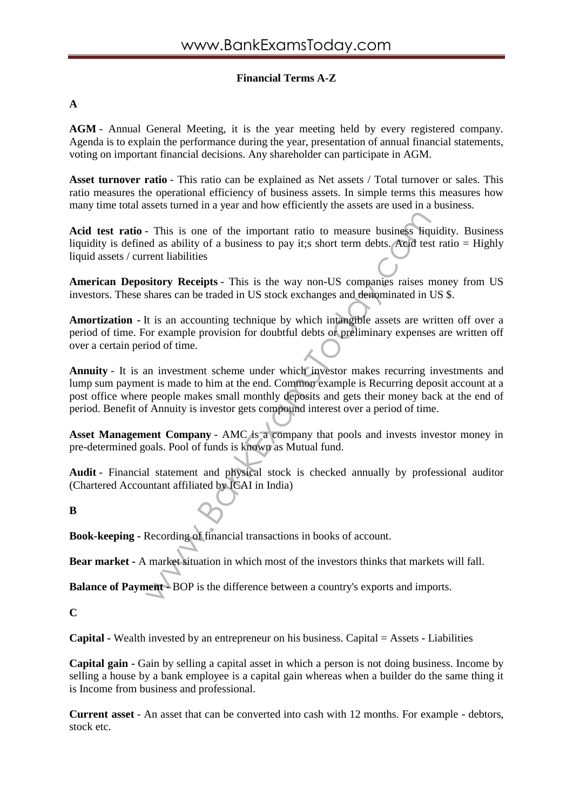# **Financial Terms A-Z**

## **A**

**AGM** - Annual General Meeting, it is the year meeting held by every registered company. Agenda is to explain the performance during the year, presentation of annual financial statements, voting on important financial decisions. Any shareholder can participate in AGM.

**Asset turnover ratio** - This ratio can be explained as Net assets / Total turnover or sales. This ratio measures the operational efficiency of business assets. In simple terms this measures how many time total assets turned in a year and how efficiently the assets are used in a business.

**Acid test ratio** - This is one of the important ratio to measure business liquidity. Business liquidity is defined as ability of a business to pay it;s short term debts. Acid test ratio = Highly liquid assets / current liabilities

**American Depository Receipts** - This is the way non-US companies raises money from US investors. These shares can be traded in US stock exchanges and denominated in US \$.

**Amortization -** It is an accounting technique by which intangible assets are written off over a period of time. For example provision for doubtful debts or preliminary expenses are written off over a certain period of time.

- This is one of the important ratio to measure business field<br>ed as ability of a business to pay it; short term debts. Accid test<br>rent liabilities<br>sitory Receipts - This is the way non-US companies raises rs<br>hares can be **Annuity** - It is an investment scheme under which investor makes recurring investments and lump sum payment is made to him at the end. Common example is Recurring deposit account at a post office where people makes small monthly deposits and gets their money back at the end of period. Benefit of Annuity is investor gets compound interest over a period of time.

**Asset Management Company** - AMC is a company that pools and invests investor money in pre-determined goals. Pool of funds is known as Mutual fund.

**Audit** - Financial statement and physical stock is checked annually by professional auditor (Chartered Accountant affiliated by ICAI in India)

**B**

**Book-keeping -** Recording of financial transactions in books of account.

**Bear market -** A market situation in which most of the investors thinks that markets will fall.

**Balance of Payment -** BOP is the difference between a country's exports and imports.

**C**

**Capital -** Wealth invested by an entrepreneur on his business. Capital = Assets - Liabilities

**Capital gain -** Gain by selling a capital asset in which a person is not doing business. Income by selling a house by a bank employee is a capital gain whereas when a builder do the same thing it is Income from business and professional.

**Current asset** - An asset that can be converted into cash with 12 months. For example - debtors, stock etc.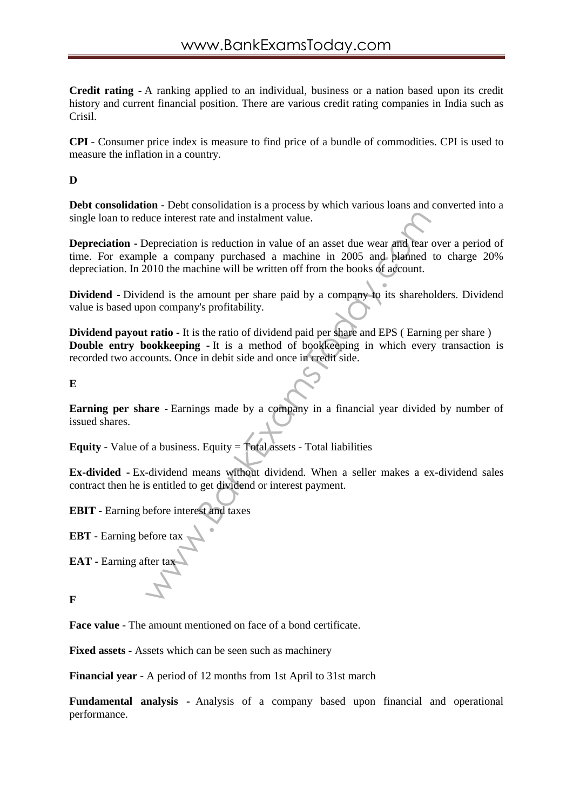**Credit rating -** A ranking applied to an individual, business or a nation based upon its credit history and current financial position. There are various credit rating companies in India such as Crisil.

**CPI** - Consumer price index is measure to find price of a bundle of commodities. CPI is used to measure the inflation in a country.

### **D**

**Debt consolidation -** Debt consolidation is a process by which various loans and converted into a single loan to reduce interest rate and instalment value.

we interest rate and instalment value.<br>
Depreciation is reduction in value of an asset due wear and tear<br>
pele a company purchased a machine in 2005 and planned<br>
2010 the machine will be written off from the books of accou **Depreciation -** Depreciation is reduction in value of an asset due wear and tear over a period of time. For example a company purchased a machine in 2005 and planned to charge 20% depreciation. In 2010 the machine will be written off from the books of account.

**Dividend -** Dividend is the amount per share paid by a company to its shareholders. Dividend value is based upon company's profitability.

**Dividend payout ratio** - It is the ratio of dividend paid per share and EPS (Earning per share) **Double entry bookkeeping -** It is a method of bookkeeping in which every transaction is recorded two accounts. Once in debit side and once in credit side.

**E**

**Earning per share -**Earnings made by a company in a financial year divided by number of issued shares.

**Equity -** Value of a business. Equity = Total assets - Total liabilities

**Ex-divided -** Ex-dividend means without dividend. When a seller makes a ex-dividend sales contract then he is entitled to get dividend or interest payment.

**EBIT -** Earning before interest and taxes

**EBT -** Earning before tax

**EAT -** Earning after tax

**F**

**Face value -** The amount mentioned on face of a bond certificate.

**Fixed assets -** Assets which can be seen such as machinery

**Financial year -** A period of 12 months from 1st April to 31st march

**Fundamental analysis -** Analysis of a company based upon financial and operational performance.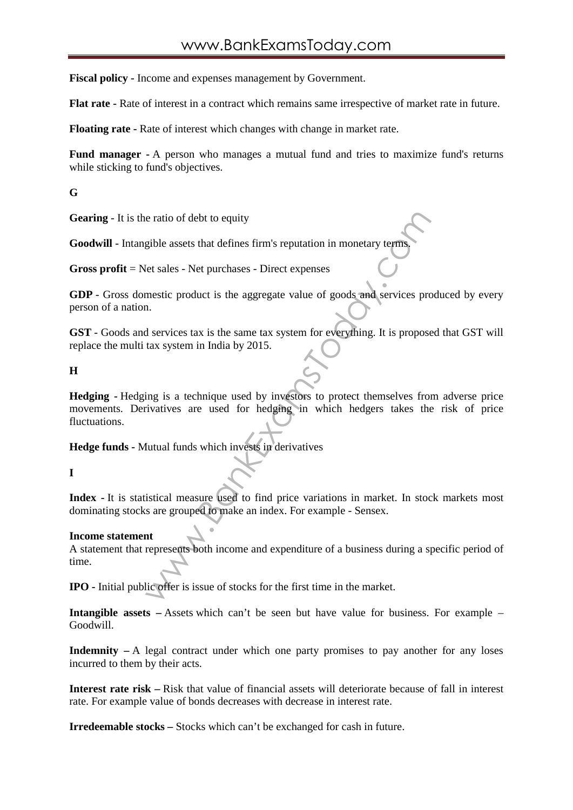**Fiscal policy -** Income and expenses management by Government.

**Flat rate -** Rate of interest in a contract which remains same irrespective of market rate in future.

**Floating rate -** Rate of interest which changes with change in market rate.

**Fund manager -**A person who manages a mutual fund and tries to maximize fund's returns while sticking to fund's objectives.

**G**

**Gearing** - It is the ratio of debt to equity

**Goodwill** - Intangible assets that defines firm's reputation in monetary terms.

**Gross profit** = Net sales - Net purchases - Direct expenses

**GDP** - Gross domestic product is the aggregate value of goods and services produced by every person of a nation.

**GST** - Goods and services tax is the same tax system for everything. It is proposed that GST will replace the multi tax system in India by 2015.

**H**

e ratio of debt to equity<br>gible assets that defines firm's reputation in monetary terms<br>et sales - Net purchases - Direct expenses<br>mestic product is the aggregate value of goods and services pro<br>at services tax is the same **Hedging -** Hedging is a technique used by investors to protect themselves from adverse price movements. Derivatives are used for hedging in which hedgers takes the risk of price fluctuations.

**Hedge funds -** Mutual funds which invests in derivatives

### **I**

**Index -** It is statistical measure used to find price variations in market. In stock markets most dominating stocks are grouped to make an index. For example - Sensex.

#### **Income statement**

A statement that represents both income and expenditure of a business during a specific period of time.

**IPO -** Initial public offer is issue of stocks for the first time in the market.

**Intangible assets** – Assets which can't be seen but have value for business. For example – Goodwill.

**Indemnity –** A legal contract under which one party promises to pay another for any loses incurred to them by their acts.

**Interest rate risk –** Risk that value of financial assets will deteriorate because of fall in interest rate. For example value of bonds decreases with decrease in interest rate.

**Irredeemable stocks –** Stocks which can't be exchanged for cash in future.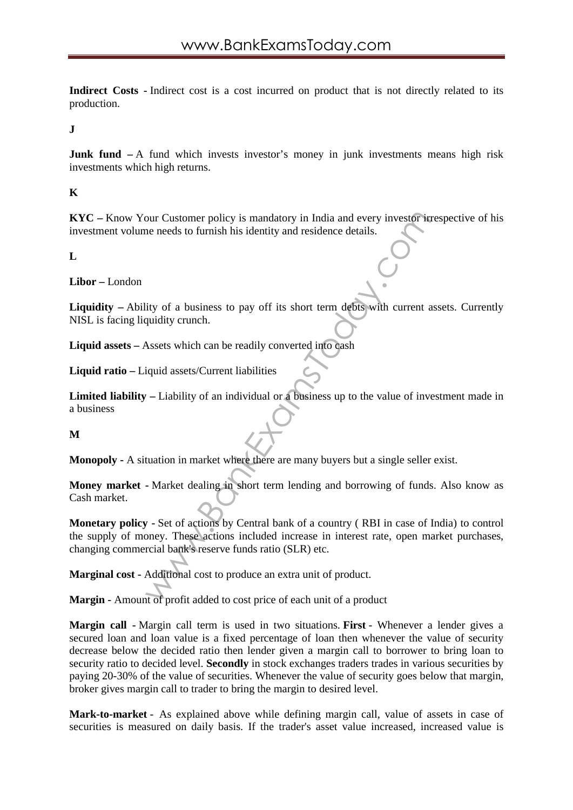**Indirect Costs -** Indirect cost is a cost incurred on product that is not directly related to its production.

**J**

**Junk fund**  $-A$  fund which invests investor's money in junk investments means high risk investments which high returns.

**K**

**KYC –** Know Your Customer policy is mandatory in India and every investor irrespective of his investment volume needs to furnish his identity and residence details.

**L**

**Libor –** London

**Liquidity** – Ability of a business to pay off its short term debts with current assets. Currently NISL is facing liquidity crunch.

**Liquid assets –** Assets which can be readily converted into cash

**Liquid ratio –** Liquid assets/Current liabilities

**Limited liability –** Liability of an individual or a business up to the value of investment made in a business

**M**

**Monopoly -** A situation in market where there are many buyers but a single seller exist.

**Money market -** Market dealing in short term lending and borrowing of funds. Also know as Cash market.

our Customer policy is mandatory in India and every investor in<br>the needs to furnish his identity and residence details.<br>
ity of a business to pay off its short term debts with current a<br>
indiversion.<br>
Assets which can be **Monetary policy -** Set of actions by Central bank of a country ( RBI in case of India) to control the supply of money. These actions included increase in interest rate, open market purchases, changing commercial bank's reserve funds ratio (SLR) etc.

**Marginal cost -** Additional cost to produce an extra unit of product.

**Margin -** Amount of profit added to cost price of each unit of a product

**Margin call -** Margin call term is used in two situations. **First** - Whenever a lender gives a secured loan and loan value is a fixed percentage of loan then whenever the value of security decrease below the decided ratio then lender given a margin call to borrower to bring loan to security ratio to decided level. **Secondly** in stock exchanges traders trades in various securities by paying 20-30% of the value of securities. Whenever the value of security goes below that margin, broker gives margin call to trader to bring the margin to desired level.

**Mark-to-market** - As explained above while defining margin call, value of assets in case of securities is measured on daily basis. If the trader's asset value increased, increased value is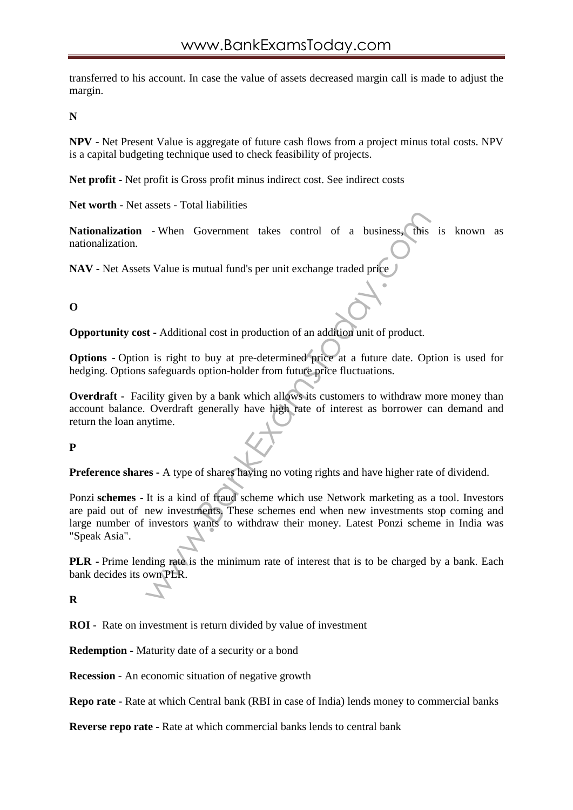transferred to his account. In case the value of assets decreased margin call is made to adjust the margin.

**N**

**NPV -** Net Present Value is aggregate of future cash flows from a project minus total costs. NPV is a capital budgeting technique used to check feasibility of projects.

**Net profit -** Net profit is Gross profit minus indirect cost. See indirect costs

**Net worth -** Net assets - Total liabilities

**Nationalization -** When Government takes control of a business, this is known as nationalization.

**NAV -** Net Assets Value is mutual fund's per unit exchange traded price

## **O**

**Opportunity cost -** Additional cost in production of an addition unit of product.

**Options -** Option is right to buy at pre-determined price at a future date. Option is used for hedging. Options safeguards option-holder from future price fluctuations.

**Overdraft** - Facility given by a bank which allows its customers to withdraw more money than account balance. Overdraft generally have high rate of interest as borrower can demand and return the loan anytime.

## **P**

**Preference shares -** A type of shares having no voting rights and have higher rate of dividend.

- When Government takes control of a business, this<br>
s Value is mutual fund's per unit exchange traded price<br>
states in production of an addition unit of product.<br>
i is right to buy at pre-determined price at a future date Ponzi **schemes -** It is a kind of fraud scheme which use Network marketing as a tool. Investors are paid out of new investments. These schemes end when new investments stop coming and large number of investors wants to withdraw their money. Latest Ponzi scheme in India was "Speak Asia".

**PLR -** Prime lending rate is the minimum rate of interest that is to be charged by a bank. Each bank decides its own PLR.

### **R**

**ROI -** Rate on investment is return divided by value of investment

**Redemption -** Maturity date of a security or a bond

**Recession -** An economic situation of negative growth

**Repo rate** - Rate at which Central bank (RBI in case of India) lends money to commercial banks

**Reverse repo rate** - Rate at which commercial banks lends to central bank